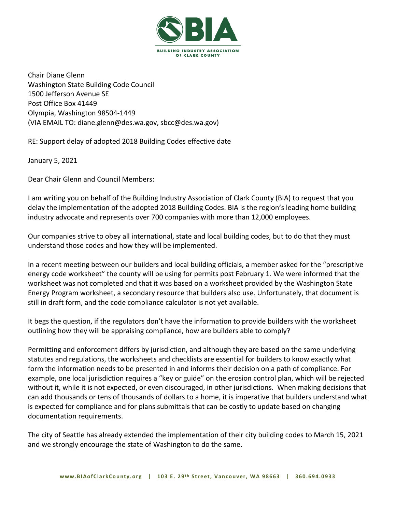

Chair Diane Glenn Washington State Building Code Council 1500 Jefferson Avenue SE Post Office Box 41449 Olympia, Washington 98504-1449 (VIA EMAIL TO: diane.glenn@des.wa.gov, sbcc@des.wa.gov)

RE: Support delay of adopted 2018 Building Codes effective date

January 5, 2021

Dear Chair Glenn and Council Members:

I am writing you on behalf of the Building Industry Association of Clark County (BIA) to request that you delay the implementation of the adopted 2018 Building Codes. BIA is the region's leading home building industry advocate and represents over 700 companies with more than 12,000 employees.

Our companies strive to obey all international, state and local building codes, but to do that they must understand those codes and how they will be implemented.

In a recent meeting between our builders and local building officials, a member asked for the "prescriptive energy code worksheet" the county will be using for permits post February 1. We were informed that the worksheet was not completed and that it was based on a worksheet provided by the Washington State Energy Program worksheet, a secondary resource that builders also use. Unfortunately, that document is still in draft form, and the code compliance calculator is not yet available.

It begs the question, if the regulators don't have the information to provide builders with the worksheet outlining how they will be appraising compliance, how are builders able to comply?

Permitting and enforcement differs by jurisdiction, and although they are based on the same underlying statutes and regulations, the worksheets and checklists are essential for builders to know exactly what form the information needs to be presented in and informs their decision on a path of compliance. For example, one local jurisdiction requires a "key or guide" on the erosion control plan, which will be rejected without it, while it is not expected, or even discouraged, in other jurisdictions. When making decisions that can add thousands or tens of thousands of dollars to a home, it is imperative that builders understand what is expected for compliance and for plans submittals that can be costly to update based on changing documentation requirements.

The city of Seattle has already extended the implementation of their city building codes to March 15, 2021 and we strongly encourage the state of Washington to do the same.